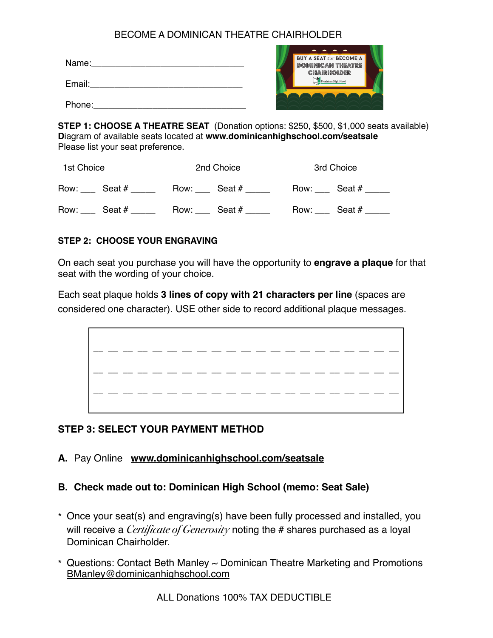## BECOME A DOMINICAN THEATRE CHAIRHOLDER

| Name:  |  |  |
|--------|--|--|
| Email: |  |  |
| Phone: |  |  |



**STEP 1: CHOOSE A THEATRE SEAT** (Donation options: \$250, \$500, \$1,000 seats available) **D**iagram of available seats located at **www.dominicanhighschool.com/seatsale** Please list your seat preference.

| 1st Choice     | 2nd Choice     | 3rd Choice     |
|----------------|----------------|----------------|
| Row: Seat #    | Row: Seat #    | Row: Seat #    |
| Row:<br>Seat # | Seat #<br>Row: | Seat #<br>Row: |

#### **STEP 2: CHOOSE YOUR ENGRAVING**

On each seat you purchase you will have the opportunity to **engrave a plaque** for that seat with the wording of your choice.

Each seat plaque holds **3 lines of copy with 21 characters per line** (spaces are considered one character). USE other side to record additional plaque messages.



# **STEP 3: SELECT YOUR PAYMENT METHOD**

### **A.** Pay Online **[www.dominicanhighschool.com/seatsale](http://www.dominicanhighschool.com/seatsale)**

### **B. Check made out to: Dominican High School (memo: Seat Sale)**

- \* Once your seat(s) and engraving(s) have been fully processed and installed, you will receive a *Certificate of Generosity* noting the # shares purchased as a loyal Dominican Chairholder.
- \* Questions: Contact Beth Manley ~ Dominican Theatre Marketing and Promotions [BManley@dominicanhighschool.com](mailto:BManley@dominicanhighschool.com)

ALL Donations 100% TAX DEDUCTIBLE